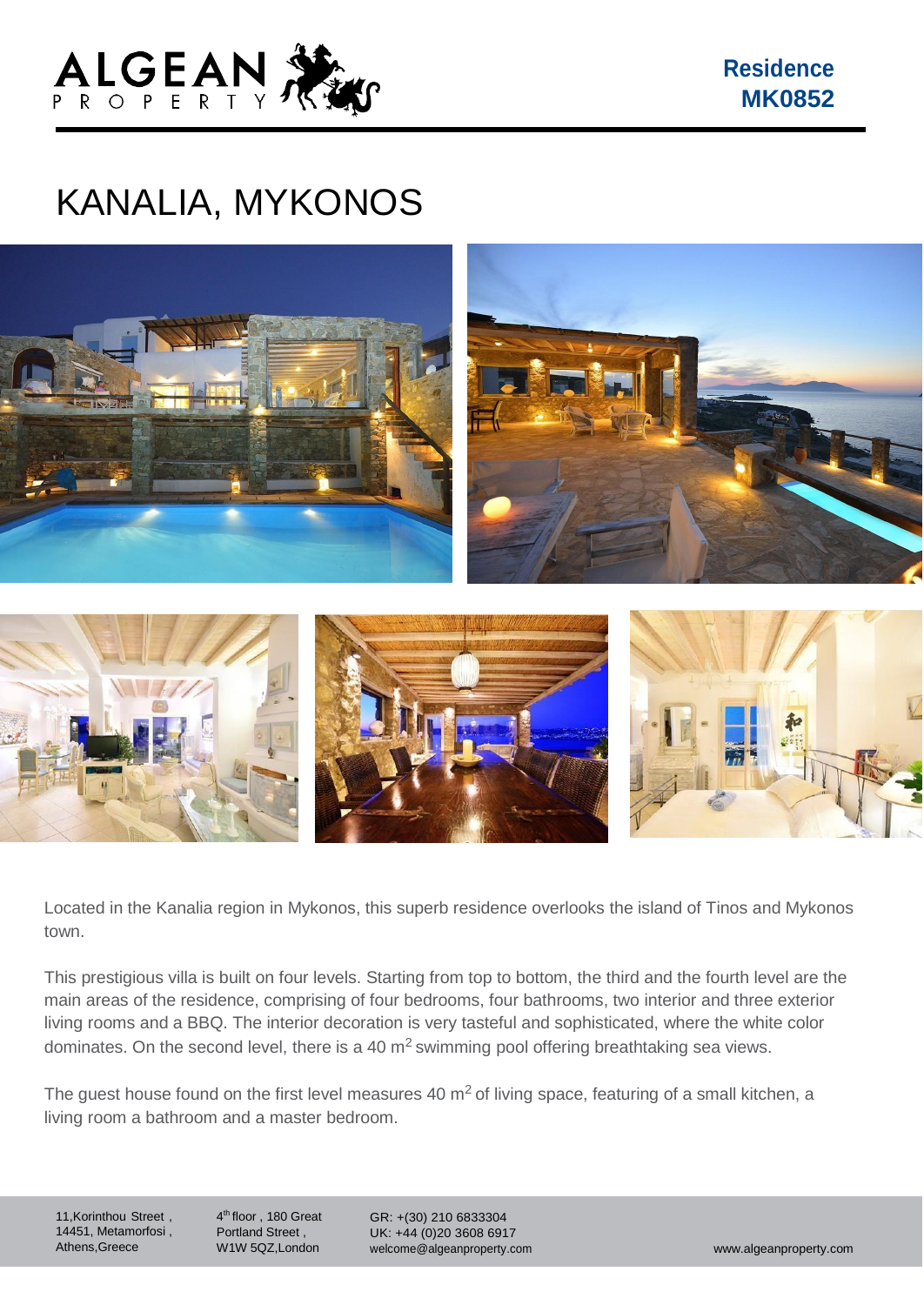

**Residence MK0852**

## KANALIA, MYKONOS



Located in the Kanalia region in Mykonos, this superb residence overlooks the island of Tinos and Mykonos town.

This prestigious villa is built on four levels. Starting from top to bottom, the third and the fourth level are the main areas of the residence, comprising of four bedrooms, four bathrooms, two interior and three exterior living rooms and a BBQ. The interior decoration is very tasteful and sophisticated, where the white color dominates. On the second level, there is a 40  $m<sup>2</sup>$  swimming pool offering breathtaking sea views.

The quest house found on the first level measures 40  $m<sup>2</sup>$  of living space, featuring of a small kitchen, a living room a bathroom and a master bedroom.

11,Korinthou Street , 14451, Metamorfosi , Athens,Greece

4 th floor , 180 Great Portland Street , W1W 5QZ,London

GR: +(30) 210 6833304 UK: +44 (0)20 3608 6917 [welcome@algeanproperty.com](mailto:welcome@algeanproperty.com) [www.algeanproperty.com](http://www.algeanproperty.com/)